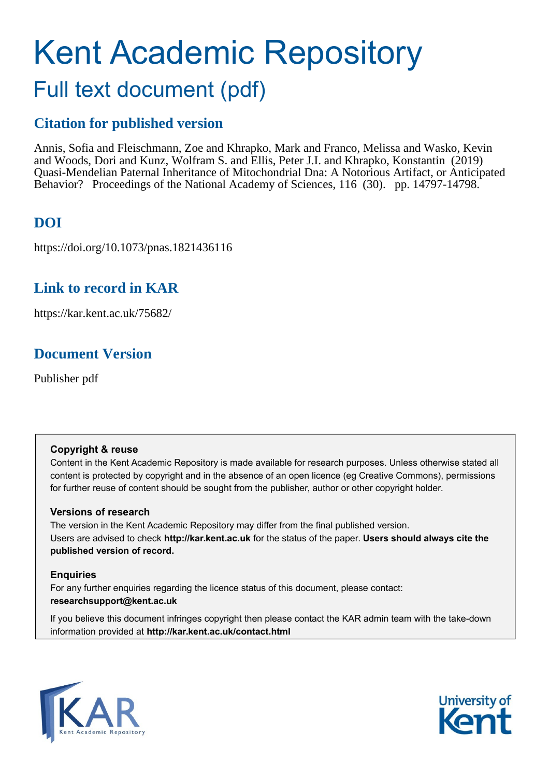# Kent Academic Repository Full text document (pdf)

## **Citation for published version**

Annis, Sofia and Fleischmann, Zoe and Khrapko, Mark and Franco, Melissa and Wasko, Kevin and Woods, Dori and Kunz, Wolfram S. and Ellis, Peter J.I. and Khrapko, Konstantin (2019) Quasi-Mendelian Paternal Inheritance of Mitochondrial Dna: A Notorious Artifact, or Anticipated Behavior? Proceedings of the National Academy of Sciences, 116 (30). pp. 14797-14798.

## **DOI**

https://doi.org/10.1073/pnas.1821436116

### **Link to record in KAR**

https://kar.kent.ac.uk/75682/

## **Document Version**

Publisher pdf

#### **Copyright & reuse**

Content in the Kent Academic Repository is made available for research purposes. Unless otherwise stated all content is protected by copyright and in the absence of an open licence (eg Creative Commons), permissions for further reuse of content should be sought from the publisher, author or other copyright holder.

#### **Versions of research**

The version in the Kent Academic Repository may differ from the final published version. Users are advised to check **http://kar.kent.ac.uk** for the status of the paper. **Users should always cite the published version of record.**

#### **Enquiries**

For any further enquiries regarding the licence status of this document, please contact: **researchsupport@kent.ac.uk**

If you believe this document infringes copyright then please contact the KAR admin team with the take-down information provided at **http://kar.kent.ac.uk/contact.html**



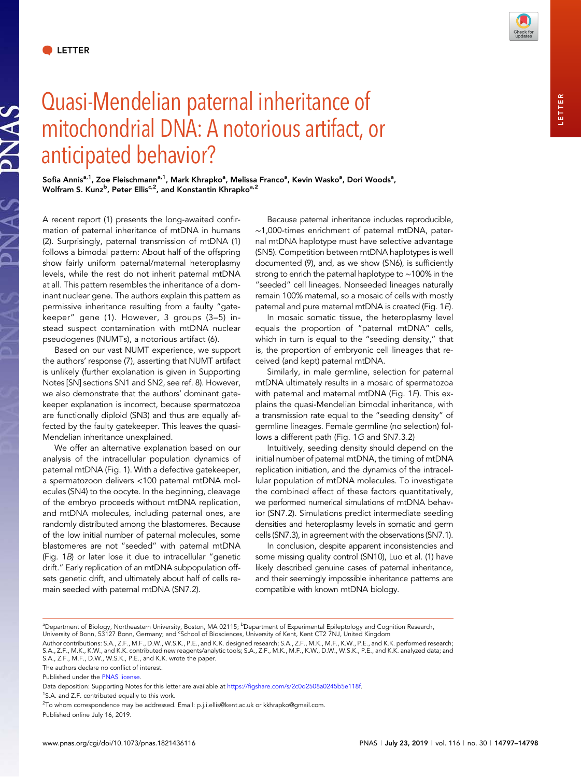PNAS

NAS



Sofia Annis<sup>a, 1</sup>, Zoe Fleischmann<sup>a, 1</sup>, Mark Khrapko<sup>a</sup>, Melissa Franco<sup>a</sup>, Kevin Wasko<sup>a</sup>, Dori Woods<sup>a</sup>, Wolfram S. Kunz<sup>b</sup>, Peter Ellis<sup>c,2</sup>, and Konstantin Khrapko<sup>a,2</sup>

A recent report (1) presents the long-awaited confirmation of paternal inheritance of mtDNA in humans (2). Surprisingly, paternal transmission of mtDNA (1) follows a bimodal pattern: About half of the offspring show fairly uniform paternal/maternal heteroplasmy levels, while the rest do not inherit paternal mtDNA at all. This pattern resembles the inheritance of a dominant nuclear gene. The authors explain this pattern as permissive inheritance resulting from a faulty "gatekeeper" gene (1). However, 3 groups (3–5) instead suspect contamination with mtDNA nuclear pseudogenes (NUMTs), a notorious artifact (6).

Based on our vast NUMT experience, we support the authors' response (7), asserting that NUMT artifact is unlikely (further explanation is given in Supporting Notes [SN] sections SN1 and SN2, see ref. 8). However, we also demonstrate that the authors' dominant gatekeeper explanation is incorrect, because spermatozoa are functionally diploid (SN3) and thus are equally affected by the faulty gatekeeper. This leaves the quasi-Mendelian inheritance unexplained.

We offer an alternative explanation based on our analysis of the intracellular population dynamics of paternal mtDNA (Fig. 1). With a defective gatekeeper, a spermatozoon delivers <100 paternal mtDNA molecules (SN4) to the oocyte. In the beginning, cleavage of the embryo proceeds without mtDNA replication, and mtDNA molecules, including paternal ones, are randomly distributed among the blastomeres. Because of the low initial number of paternal molecules, some blastomeres are not "seeded" with paternal mtDNA (Fig. 1B) or later lose it due to intracellular "genetic drift." Early replication of an mtDNA subpopulation offsets genetic drift, and ultimately about half of cells remain seeded with paternal mtDNA (SN7.2).

Because paternal inheritance includes reproducible, ∼1,000-times enrichment of paternal mtDNA, paternal mtDNA haplotype must have selective advantage (SN5). Competition between mtDNA haplotypes is well documented (9), and, as we show (SN6), is sufficiently strong to enrich the paternal haplotype to ∼100% in the "seeded" cell lineages. Nonseeded lineages naturally remain 100% maternal, so a mosaic of cells with mostly paternal and pure maternal mtDNA is created (Fig. 1E).

In mosaic somatic tissue, the heteroplasmy level equals the proportion of "paternal mtDNA" cells, which in turn is equal to the "seeding density," that is, the proportion of embryonic cell lineages that received (and kept) paternal mtDNA.

Similarly, in male germline, selection for paternal mtDNA ultimately results in a mosaic of spermatozoa with paternal and maternal mtDNA (Fig. 1F). This explains the quasi-Mendelian bimodal inheritance, with a transmission rate equal to the "seeding density" of germline lineages. Female germline (no selection) follows a different path (Fig. 1G and SN7.3.2)

Intuitively, seeding density should depend on the initial number of paternal mtDNA, the timing of mtDNA replication initiation, and the dynamics of the intracellular population of mtDNA molecules. To investigate the combined effect of these factors quantitatively, we performed numerical simulations of mtDNA behavior (SN7.2). Simulations predict intermediate seeding densities and heteroplasmy levels in somatic and germ cells (SN7.3), in agreement with the observations (SN7.1).

In conclusion, despite apparent inconsistencies and some missing quality control (SN10), Luo et al. (1) have likely described genuine cases of paternal inheritance, and their seemingly impossible inheritance patterns are compatible with known mtDNA biology.

<sup>1</sup>S.A. and Z.F. contributed equally to this work.

LETTER**ETTER** 

ªDepartment of Biology, Northeastem University, Boston, MA 02115; <sup>b</sup>Department of Experimental Epileptology and Cognition Research,<br>University of Bonn, 53127 Bonn, Germany; and <sup>c</sup>School of Biosciences, University of Kent

Author contributions: S.A., Z.F., M.F., D.W., W.S.K., P.E., and K.K. designed research; S.A., Z.F., M.K., M.F., K.W., P.E., and K.K. performed research;<br>S.A., Z.F., M.K., K.W., and K.K. contributed new reagents/analytic to

S.A., Z.F., M.F., D.W., W.S.K., P.E., and K.K. wrote the paper.

The authors declare no conflict of interest.

Published under the [PNAS license.](https://www.pnas.org/site/aboutpnas/licenses.xhtml)

Data deposition: Supporting Notes for this letter are available at <https://figshare.com/s/2c0d2508a0245b5e118f>.

 $^{2}$ To whom correspondence may be addressed. Email: [p.j.i.ellis@kent.ac.uk](mailto:p.j.i.ellis@kent.ac.uk) or [kkhrapko@gmail.com](mailto:kkhrapko@gmail.com).

Published online July 16, 2019.